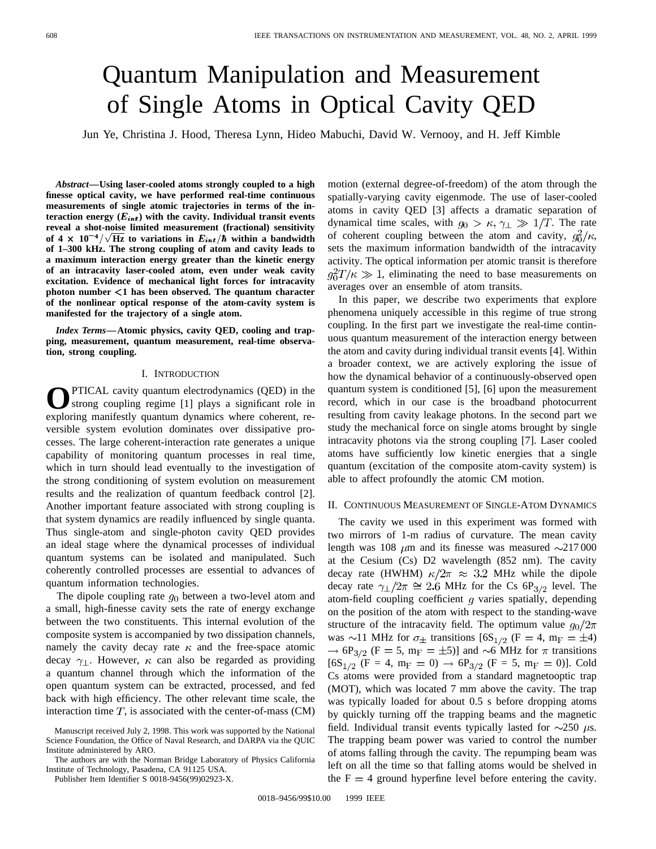# Quantum Manipulation and Measurement

Jun Ye, Christina J. Hood, Theresa Lynn, Hideo Mabuchi, David W. Vernooy, and H. Jeff Kimble

**of Single Atoms in Optical Cavity QED**<br>
Ye, Christina J. Hood, Theresa Lynn, Hideo Mabuchi, David W. Vernooy, and H. Jeff Ki<br>
Jsing laser-cooled atoms strongly coupled to a high motion (external degree-of-freedom) of the *Abstract—***Using laser-cooled atoms strongly coupled to a high finesse optical cavity, we have performed real-time continuous measurements of single atomic trajectories in terms of the in**teraction energy  $(E_{int})$  with the cavity. Individual transit events **reveal a shot-noise limited measurement (fractional) sensitivity** for the distribution of  $4 \times 10^{-4}$ **of 1–300 kHz. The strong coupling of atom and cavity leads to a maximum interaction energy greater than the kinetic energy of an intracavity laser-cooled atom, even under weak cavity excitation. Evidence of mechanical light forces for intracavity photon number** <**1 has been observed. The quantum character of the nonlinear optical response of the atom-cavity system is manifested for the trajectory of a single atom.**

*Index Terms—***Atomic physics, cavity QED, cooling and trapping, measurement, quantum measurement, real-time observation, strong coupling.**

# I. INTRODUCTION

PTICAL cavity quantum electrodynamics (QED) in the strong coupling regime [1] plays a significant role in exploring manifestly quantum dynamics where coherent, reversible system evolution dominates over dissipative processes. The large coherent-interaction rate generates a unique capability of monitoring quantum processes in real time, which in turn should lead eventually to the investigation of the strong conditioning of system evolution on measurement results and the realization of quantum feedback control [2]. Another important feature associated with strong coupling is that system dynamics are readily influenced by single quanta. Thus single-atom and single-photon cavity QED provides an ideal stage where the dynamical processes of individual quantum systems can be isolated and manipulated. Such coherently controlled processes are essential to advances of quantum information technologies.

The dipole coupling rate  $g_0$  between a two-level atom and a small, high-finesse cavity sets the rate of energy exchange between the two constituents. This internal evolution of the composite system is accompanied by two dissipation channels, namely the cavity decay rate  $\kappa$  and the free-space atomic decay  $\gamma_{\perp}$ . However,  $\kappa$  can also be regarded as providing a quantum channel through which the information of the open quantum system can be extracted, processed, and fed back with high efficiency. The other relevant time scale, the interaction time  $T$ , is associated with the center-of-mass (CM)

Publisher Item Identifier S 0018-9456(99)02923-X.

motion (external degree-of-freedom) of the atom through the spatially-varying cavity eigenmode. The use of laser-cooled atoms in cavity QED [3] affects a dramatic separation of dynamical time scales, with  $g_0 > \kappa$ ,  $\gamma_{\perp} \gg 1/T$ . The rate of coherent coupling between the atom and cavity,  $g_0^2/\kappa$ , sets the maximum information bandwidth of the intracavity activity. The optical information per atomic transit is therefore  $g_0^2 T/\kappa \gg 1$ , eliminating the need to base measurements on averages over an ensemble of atom transits.

In this paper, we describe two experiments that explore phenomena uniquely accessible in this regime of true strong coupling. In the first part we investigate the real-time continuous quantum measurement of the interaction energy between the atom and cavity during individual transit events [4]. Within a broader context, we are actively exploring the issue of how the dynamical behavior of a continuously-observed open quantum system is conditioned [5], [6] upon the measurement record, which in our case is the broadband photocurrent resulting from cavity leakage photons. In the second part we study the mechanical force on single atoms brought by single intracavity photons via the strong coupling [7]. Laser cooled atoms have sufficiently low kinetic energies that a single quantum (excitation of the composite atom-cavity system) is able to affect profoundly the atomic CM motion.

### II. CONTINUOUS MEASUREMENT OF SINGLE-ATOM DYNAMICS

The cavity we used in this experiment was formed with two mirrors of 1-m radius of curvature. The mean cavity length was 108  $\mu$ m and its finesse was measured  $\sim$ 217000 at the Cesium (Cs) D2 wavelength (852 nm). The cavity decay rate (HWHM)  $\kappa/2\pi \approx 3.2$  MHz while the dipole decay rate  $\gamma_{\perp}/2\pi \cong 2.6$  MHz for the Cs 6P<sub>3/2</sub> level. The atom-field coupling coefficient  $q$  varies spatially, depending on the position of the atom with respect to the standing-wave structure of the intracavity field. The optimum value  $q_0/2\pi$ was  $\sim$ 11 MHz for  $\sigma_{\pm}$  transitions [6S<sub>1/2</sub> (F = 4, m<sub>F</sub> =  $\pm$ 4)  $\rightarrow$  6P<sub>3/2</sub> (F = 5, m<sub>F</sub> =  $\pm$ 5)] and  $\sim$ 6 MHz for  $\pi$  transitions  $[6S_{1/2}$  (F = 4, m<sub>F</sub> = 0)  $\rightarrow$  6P<sub>3/2</sub> (F = 5, m<sub>F</sub> = 0)]. Cold Cs atoms were provided from a standard magnetooptic trap (MOT), which was located 7 mm above the cavity. The trap was typically loaded for about 0.5 s before dropping atoms by quickly turning off the trapping beams and the magnetic field. Individual transit events typically lasted for  $\sim$ 250  $\mu$ s. The trapping beam power was varied to control the number of atoms falling through the cavity. The repumping beam was left on all the time so that falling atoms would be shelved in the  $F = 4$  ground hyperfine level before entering the cavity.

Manuscript received July 2, 1998. This work was supported by the National Science Foundation, the Office of Naval Research, and DARPA via the QUIC Institute administered by ARO.

The authors are with the Norman Bridge Laboratory of Physics California Institute of Technology, Pasadena, CA 91125 USA.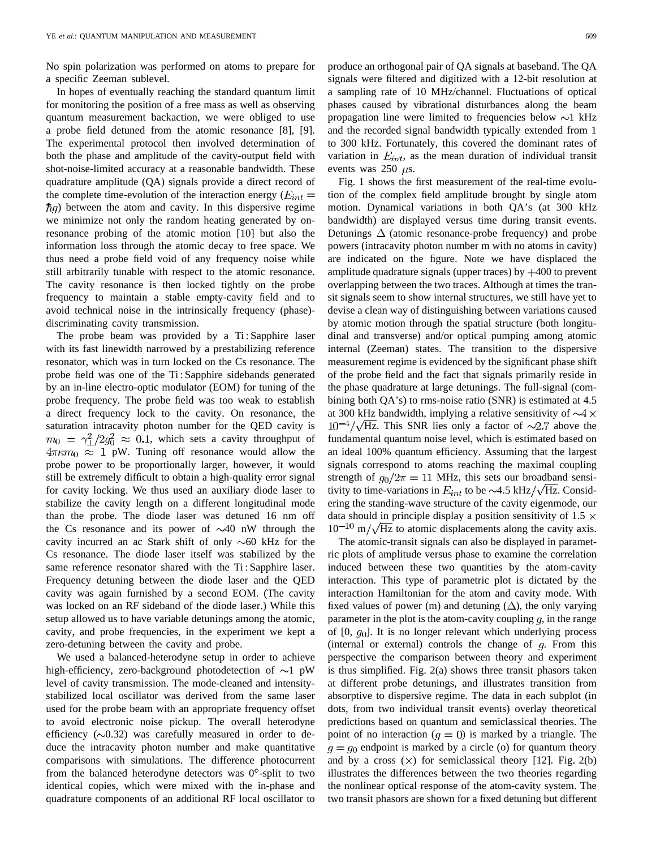No spin polarization was performed on atoms to prepare for a specific Zeeman sublevel.

In hopes of eventually reaching the standard quantum limit for monitoring the position of a free mass as well as observing quantum measurement backaction, we were obliged to use a probe field detuned from the atomic resonance [8], [9]. The experimental protocol then involved determination of both the phase and amplitude of the cavity-output field with shot-noise-limited accuracy at a reasonable bandwidth. These quadrature amplitude (QA) signals provide a direct record of the complete time-evolution of the interaction energy ( $E_{int}$  =  $\hbar g$ ) between the atom and cavity. In this dispersive regime we minimize not only the random heating generated by onresonance probing of the atomic motion [10] but also the information loss through the atomic decay to free space. We thus need a probe field void of any frequency noise while still arbitrarily tunable with respect to the atomic resonance. The cavity resonance is then locked tightly on the probe frequency to maintain a stable empty-cavity field and to avoid technical noise in the intrinsically frequency (phase) discriminating cavity transmission.

The probe beam was provided by a Ti : Sapphire laser with its fast linewidth narrowed by a prestabilizing reference resonator, which was in turn locked on the Cs resonance. The probe field was one of the Ti : Sapphire sidebands generated by an in-line electro-optic modulator (EOM) for tuning of the probe frequency. The probe field was too weak to establish a direct frequency lock to the cavity. On resonance, the saturation intracavity photon number for the QED cavity is  $m_0 = \gamma_1^2/2g_0^2 \approx 0.1$ , which sets a cavity throughput of  $4\pi\kappa m_0 \approx 1$  pW. Tuning off resonance would allow the probe power to be proportionally larger, however, it would still be extremely difficult to obtain a high-quality error signal for cavity locking. We thus used an auxiliary diode laser to stabilize the cavity length on a different longitudinal mode than the probe. The diode laser was detuned 16 nm off the Cs resonance and its power of  $\sim$ 40 nW through the cavity incurred an ac Stark shift of only  $\sim 60$  kHz for the Cs resonance. The diode laser itself was stabilized by the same reference resonator shared with the Ti : Sapphire laser. Frequency detuning between the diode laser and the QED cavity was again furnished by a second EOM. (The cavity was locked on an RF sideband of the diode laser.) While this setup allowed us to have variable detunings among the atomic, cavity, and probe frequencies, in the experiment we kept a zero-detuning between the cavity and probe.

We used a balanced-heterodyne setup in order to achieve high-efficiency, zero-background photodetection of  $\sim$ 1 pW level of cavity transmission. The mode-cleaned and intensitystabilized local oscillator was derived from the same laser used for the probe beam with an appropriate frequency offset to avoid electronic noise pickup. The overall heterodyne efficiency  $(\sim 0.32)$  was carefully measured in order to deduce the intracavity photon number and make quantitative comparisons with simulations. The difference photocurrent from the balanced heterodyne detectors was  $0^{\circ}$ -split to two identical copies, which were mixed with the in-phase and quadrature components of an additional RF local oscillator to produce an orthogonal pair of QA signals at baseband. The QA signals were filtered and digitized with a 12-bit resolution at a sampling rate of 10 MHz/channel. Fluctuations of optical phases caused by vibrational disturbances along the beam propagation line were limited to frequencies below  $\sim$ 1 kHz and the recorded signal bandwidth typically extended from 1 to 300 kHz. Fortunately, this covered the dominant rates of variation in  $E_{int}$ , as the mean duration of individual transit events was 250  $\mu$ s.

Fig. 1 shows the first measurement of the real-time evolution of the complex field amplitude brought by single atom motion. Dynamical variations in both QA's (at 300 kHz bandwidth) are displayed versus time during transit events. Detunings  $\Delta$  (atomic resonance-probe frequency) and probe powers (intracavity photon number m with no atoms in cavity) are indicated on the figure. Note we have displaced the amplitude quadrature signals (upper traces) by  $+400$  to prevent overlapping between the two traces. Although at times the transit signals seem to show internal structures, we still have yet to devise a clean way of distinguishing between variations caused by atomic motion through the spatial structure (both longitudinal and transverse) and/or optical pumping among atomic internal (Zeeman) states. The transition to the dispersive measurement regime is evidenced by the significant phase shift of the probe field and the fact that signals primarily reside in the phase quadrature at large detunings. The full-signal (combining both QA's) to rms-noise ratio (SNR) is estimated at 4.5 at 300 kHz bandwidth, implying a relative sensitivity of  $\sim4\times$  $10^{-4}/\sqrt{\text{Hz}}$ . This SNR lies only a factor of  $\sim 2.7$  above the fundamental quantum noise level, which is estimated based on an ideal 100% quantum efficiency. Assuming that the largest signals correspond to atoms reaching the maximal coupling strength of  $g_0/2\pi = 11$  MHz, this sets our broadband sensitivity to time-variations in  $E_{int}$  to be  $\sim$ 4.5 kHz/ $\sqrt{Hz}$ . Considering the standing-wave structure of the cavity eigenmode, our data should in principle display a position sensitivity of 1.5  $\times$  $10^{-10}$  m/ $\sqrt{Hz}$  to atomic displacements along the cavity axis.

The atomic-transit signals can also be displayed in parametric plots of amplitude versus phase to examine the correlation induced between these two quantities by the atom-cavity interaction. This type of parametric plot is dictated by the interaction Hamiltonian for the atom and cavity mode. With fixed values of power (m) and detuning  $(\Delta)$ , the only varying parameter in the plot is the atom-cavity coupling  $q$ , in the range of  $[0, q_0]$ . It is no longer relevant which underlying process (internal or external) controls the change of  $q$ . From this perspective the comparison between theory and experiment is thus simplified. Fig. 2(a) shows three transit phasors taken at different probe detunings, and illustrates transition from absorptive to dispersive regime. The data in each subplot (in dots, from two individual transit events) overlay theoretical predictions based on quantum and semiclassical theories. The point of no interaction  $(q = 0)$  is marked by a triangle. The  $q = q_0$  endpoint is marked by a circle (o) for quantum theory and by a cross  $(x)$  for semiclassical theory [12]. Fig. 2(b) illustrates the differences between the two theories regarding the nonlinear optical response of the atom-cavity system. The two transit phasors are shown for a fixed detuning but different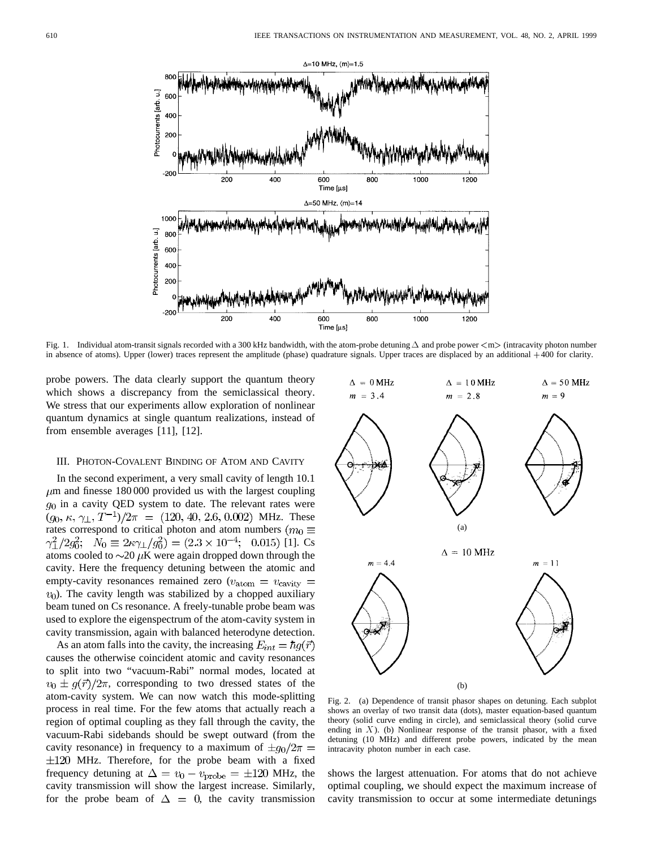

Fig. 1. Individual atom-transit signals recorded with a 300 kHz bandwidth, with the atom-probe detuning  $\Delta$  and probe power  $\langle m \rangle$  (intracavity photon number in absence of atoms). Upper (lower) traces represent the amplitude (phase) quadrature signals. Upper traces are displaced by an additional +400 for clarity.

probe powers. The data clearly support the quantum theory which shows a discrepancy from the semiclassical theory. We stress that our experiments allow exploration of nonlinear quantum dynamics at single quantum realizations, instead of from ensemble averages [11], [12].

# III. PHOTON-COVALENT BINDING OF ATOM AND CAVITY

In the second experiment, a very small cavity of length 10.1  $\mu$ m and finesse 180 000 provided us with the largest coupling  $g_0$  in a cavity QED system to date. The relevant rates were  $(g_0, \kappa, \gamma_\perp, T^{-1})/2\pi = (120, 40, 2.6, 0.002)$  MHz. These rates correspond to critical photon and atom numbers ( $m_0 \equiv$  $\gamma_{\perp}^2/2g_0^2$ ;  $N_0 \equiv 2\kappa \gamma_{\perp}/g_0^2 = (2.3 \times 10^{-4})$ ; 0.015) [1]. Cs atoms cooled to  $\sim$ 20  $\mu$ K were again dropped down through the cavity. Here the frequency detuning between the atomic and empty-cavity resonances remained zero ( $v_{\text{atom}} = v_{\text{cavity}} =$  $v<sub>0</sub>$ ). The cavity length was stabilized by a chopped auxiliary beam tuned on Cs resonance. A freely-tunable probe beam was used to explore the eigenspectrum of the atom-cavity system in cavity transmission, again with balanced heterodyne detection.

As an atom falls into the cavity, the increasing  $E_{int} = \hbar q(\vec{r})$ causes the otherwise coincident atomic and cavity resonances to split into two "vacuum-Rabi" normal modes, located at  $v_0 \pm q(\vec{r})/2\pi$ , corresponding to two dressed states of the atom-cavity system. We can now watch this mode-splitting process in real time. For the few atoms that actually reach a region of optimal coupling as they fall through the cavity, the vacuum-Rabi sidebands should be swept outward (from the cavity resonance) in frequency to a maximum of  $\pm g_0/2\pi$  =  $\pm 120$  MHz. Therefore, for the probe beam with a fixed frequency detuning at  $\Delta = v_0 - v_{\text{probe}} = \pm 120$  MHz, the cavity transmission will show the largest increase. Similarly, for the probe beam of  $\Delta = 0$ , the cavity transmission



Fig. 2. (a) Dependence of transit phasor shapes on detuning. Each subplot shows an overlay of two transit data (dots), master equation-based quantum theory (solid curve ending in circle), and semiclassical theory (solid curve ending in  $X$ ). (b) Nonlinear response of the transit phasor, with a fixed detuning (10 MHz) and different probe powers, indicated by the mean intracavity photon number in each case.

shows the largest attenuation. For atoms that do not achieve optimal coupling, we should expect the maximum increase of cavity transmission to occur at some intermediate detunings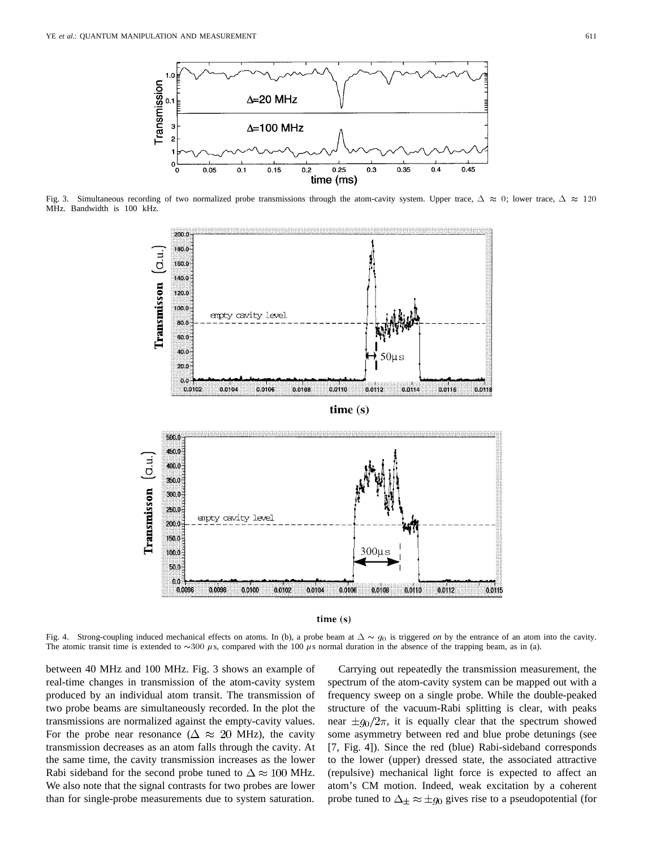

Fig. 3. Simultaneous recording of two normalized probe transmissions through the atom-cavity system. Upper trace,  $\Delta \approx 0$ ; lower trace,  $\Delta \approx 120$ MHz. Bandwidth is 100 kHz.





Fig. 4. Strong-coupling induced mechanical effects on atoms. In (b), a probe beam at  $\Delta \sim g_0$  is triggered *on* by the entrance of an atom into the cavity. The atomic transit time is extended to  $\sim$ 300  $\mu$ s, compared with the 100  $\mu$ s normal duration in the absence of the trapping beam, as in (a).

between 40 MHz and 100 MHz. Fig. 3 shows an example of real-time changes in transmission of the atom-cavity system produced by an individual atom transit. The transmission of two probe beams are simultaneously recorded. In the plot the transmissions are normalized against the empty-cavity values. For the probe near resonance ( $\Delta \approx 20$  MHz), the cavity transmission decreases as an atom falls through the cavity. At the same time, the cavity transmission increases as the lower Rabi sideband for the second probe tuned to  $\Delta \approx 100$  MHz. We also note that the signal contrasts for two probes are lower than for single-probe measurements due to system saturation.

Carrying out repeatedly the transmission measurement, the spectrum of the atom-cavity system can be mapped out with a frequency sweep on a single probe. While the double-peaked structure of the vacuum-Rabi splitting is clear, with peaks near  $\pm g_0/2\pi$ , it is equally clear that the spectrum showed some asymmetry between red and blue probe detunings (see [7, Fig. 4]). Since the red (blue) Rabi-sideband corresponds to the lower (upper) dressed state, the associated attractive (repulsive) mechanical light force is expected to affect an atom's CM motion. Indeed, weak excitation by a coherent probe tuned to  $\Delta_{\pm} \approx \pm g_0$  gives rise to a pseudopotential (for